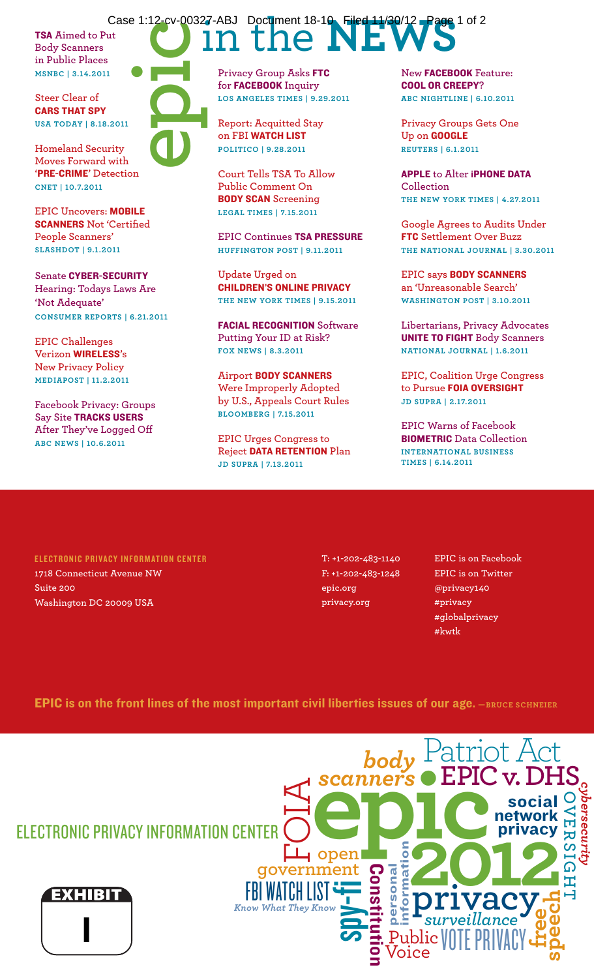TSA **Aimed to Put Body Scanners in Public Places MSNBC | 3.14.2011**

**Steer Clear of CARS THAT SPY USA Today | 8.18.2011**

**Homeland Security Moves Forward with '**Pre-Crime**' Detection CNET | 10.7.2011**

**EPIC Uncovers: MOBILE** Scanners **Not 'Certified People Scanners' Slashdot | 9.1.2011**

**Senate CYBER-SECURITY Hearing: Todays Laws Are 'Not Adequate' Consumer Reports | 6.21.2011**

**EPIC Challenges Verizon** Wireless**'s New Privacy Policy MediaPost | 11.2.2011**

**Facebook Privacy: Groups Say Site TRACKS USERS After They've Logged Off ABC News | 10.6.2011**

## Case 1:12-cv-00327-ABJ Document 18-10 Filed 11/30/12 Page 1 of 2 **epic**

**Privacy Group Asks** FTC **for** Facebook **Inquiry Los Angeles Times | 9.29.2011**

**Report: Acquitted Stay on FBI** Watch List **Politico | 9.28.2011**

**Court Tells TSA To Allow Public Comment On**  Body Scan **Screening Legal Times | 7.15.2011**

**EPIC Continues** TSA Pressure **Huffington Post | 9.11.2011**

**Update Urged on**  Children's Online Privacy **the New York Times | 9.15.2011**

Facial Recognition **Software Putting Your ID at Risk? Fox News | 8.3.2011**

**Airport** Body Scanners **Were Improperly Adopted by U.S., Appeals Court Rules Bloomberg | 7.15.2011**

**EPIC Urges Congress to Reject** Data Retention **Plan JD Supra | 7.13.2011**

**New** Facebook **Feature:**  Cool or Creepy**? ABC Nightline | 6.10.2011**

**Privacy Groups Gets One Up on** Google **Reuters | 6.1.2011**

**APPLE** to Alter **iPHONE DATA Collection the New York Times | 4.27.2011**

**Google Agrees to Audits Under**  FTC **Settlement Over Buzz The National Journal | 3.30.2011**

**EPIC says** Body Scanners **an 'Unreasonable Search' Washington Post | 3.10.2011**

**Libertarians, Privacy Advocates**  Unite To Fight **Body Scanners National Journal | 1.6.2011**

**EPIC, Coalition Urge Congress**  to Pursue **FOIA OVERSIGHT JD Supra | 2.17.2011**

**EPIC Warns of Facebook**  Biometric **Data Collection International Business Times | 6.14.2011**

ELECTRONIC PRIVACY INFORMATION CENTER **1718 Connecticut Avenue NW Suite 200 Washington DC 20009 USA**

**T: +1-202-483-1140 F: +1-202-483-1248 epic.org privacy.org**

> Public Voice

personal information

Constitution

spy-fi

**open**

 **government**

FBI WATCH LIST *Know What They Know*

*scanners*

**examers** EPIC v. DH<br> **example 1**<br> **example 1**<br> **example 1**<br> **example 1**<br> **example 12**<br> **example 12**<br> **example 12**<br> **example 12**<br> **example 12**<br> **example 12**<br> **example 12**<br> **example 12** 

*surveillance*

**privacy**

VOTE PRIVACY

**OVERSIGHT**

工

*cybersecurity*

ersecur ы

**free**

social network rivacy

**speec**

**h**

**EPIC is on Facebook EPIC is on Twitter @privacy140 #privacy #globalprivacy #kwtk**

Patriot Act

**EPIC v.DHS** *body*

**EPIC** is on the front lines of the most important civil liberties issues of our age.  $-$ BRUCE SCHNEIER